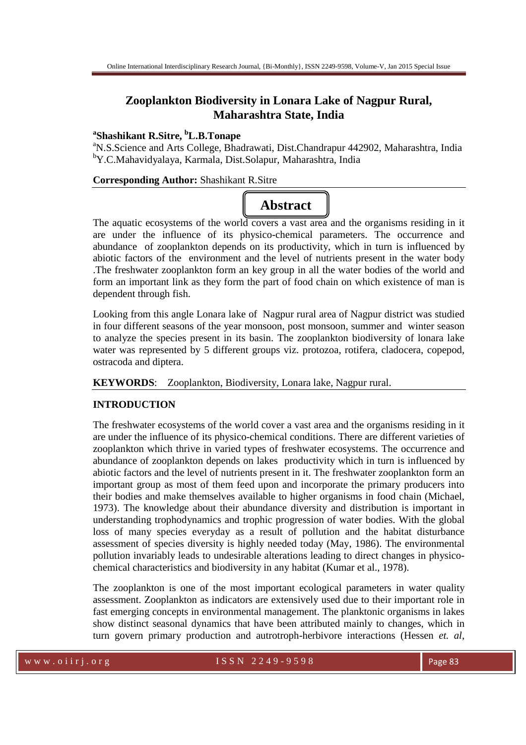## **Zooplankton Biodiversity in Lonara Lake of Nagpur Rural, Maharashtra State, India**

### **a Shashikant R.Sitre, <sup>b</sup>L.B.Tonape**

<sup>a</sup>N.S.Science and Arts College, Bhadrawati, Dist.Chandrapur 442902, Maharashtra, India <sup>b</sup>Y.C.Mahavidyalaya, Karmala, Dist.Solapur, Maharashtra, India

#### **Corresponding Author:** Shashikant R.Sitre

# **Abstract**

The aquatic ecosystems of the world covers a vast area and the organisms residing in it are under the influence of its physico-chemical parameters. The occurrence and abundance of zooplankton depends on its productivity, which in turn is influenced by abiotic factors of the environment and the level of nutrients present in the water body .The freshwater zooplankton form an key group in all the water bodies of the world and form an important link as they form the part of food chain on which existence of man is dependent through fish.

Looking from this angle Lonara lake of Nagpur rural area of Nagpur district was studied in four different seasons of the year monsoon, post monsoon, summer and winter season to analyze the species present in its basin. The zooplankton biodiversity of lonara lake water was represented by 5 different groups viz. protozoa, rotifera, cladocera, copepod, ostracoda and diptera.

**KEYWORDS**: Zooplankton, Biodiversity, Lonara lake, Nagpur rural.

#### **INTRODUCTION**

The freshwater ecosystems of the world cover a vast area and the organisms residing in it are under the influence of its physico-chemical conditions. There are different varieties of zooplankton which thrive in varied types of freshwater ecosystems. The occurrence and abundance of zooplankton depends on lakes productivity which in turn is influenced by abiotic factors and the level of nutrients present in it. The freshwater zooplankton form an important group as most of them feed upon and incorporate the primary producers into their bodies and make themselves available to higher organisms in food chain (Michael, 1973). The knowledge about their abundance diversity and distribution is important in understanding trophodynamics and trophic progression of water bodies. With the global loss of many species everyday as a result of pollution and the habitat disturbance assessment of species diversity is highly needed today (May, 1986). The environmental pollution invariably leads to undesirable alterations leading to direct changes in physicochemical characteristics and biodiversity in any habitat (Kumar et al., 1978).

The zooplankton is one of the most important ecological parameters in water quality assessment. Zooplankton as indicators are extensively used due to their important role in fast emerging concepts in environmental management. The planktonic organisms in lakes show distinct seasonal dynamics that have been attributed mainly to changes, which in turn govern primary production and autrotroph-herbivore interactions (Hessen *et. al*,

w w w . o i i r j . o r g i second to second the SSN 2249-9598 Page 82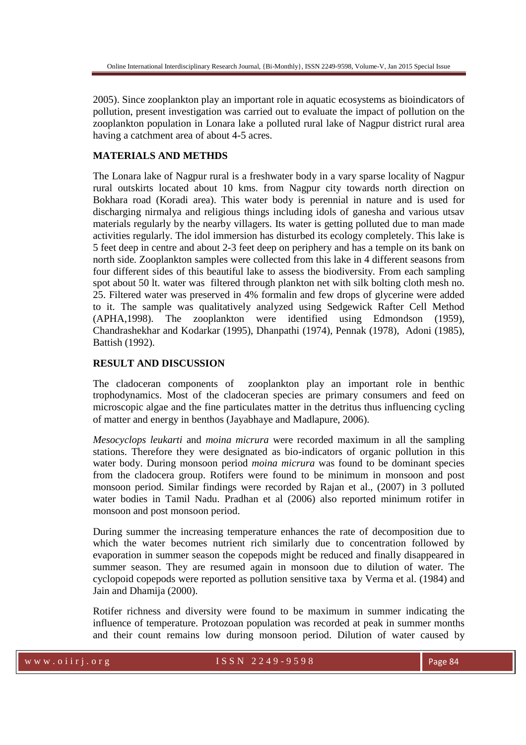2005). Since zooplankton play an important role in aquatic ecosystems as bioindicators of pollution, present investigation was carried out to evaluate the impact of pollution on the zooplankton population in Lonara lake a polluted rural lake of Nagpur district rural area having a catchment area of about 4-5 acres.

#### **MATERIALS AND METHDS**

The Lonara lake of Nagpur rural is a freshwater body in a vary sparse locality of Nagpur rural outskirts located about 10 kms. from Nagpur city towards north direction on Bokhara road (Koradi area). This water body is perennial in nature and is used for discharging nirmalya and religious things including idols of ganesha and various utsav materials regularly by the nearby villagers. Its water is getting polluted due to man made activities regularly. The idol immersion has disturbed its ecology completely. This lake is 5 feet deep in centre and about 2-3 feet deep on periphery and has a temple on its bank on north side. Zooplankton samples were collected from this lake in 4 different seasons from four different sides of this beautiful lake to assess the biodiversity. From each sampling spot about 50 lt. water was filtered through plankton net with silk bolting cloth mesh no. 25. Filtered water was preserved in 4% formalin and few drops of glycerine were added to it. The sample was qualitatively analyzed using Sedgewick Rafter Cell Method (APHA,1998). The zooplankton were identified using Edmondson (1959), Chandrashekhar and Kodarkar (1995), Dhanpathi (1974), Pennak (1978), Adoni (1985), Battish (1992).

#### **RESULT AND DISCUSSION**

The cladoceran components of zooplankton play an important role in benthic trophodynamics. Most of the cladoceran species are primary consumers and feed on microscopic algae and the fine particulates matter in the detritus thus influencing cycling of matter and energy in benthos (Jayabhaye and Madlapure, 2006).

*Mesocyclops leukarti* and *moina micrura* were recorded maximum in all the sampling stations. Therefore they were designated as bio-indicators of organic pollution in this water body. During monsoon period *moina micrura* was found to be dominant species from the cladocera group. Rotifers were found to be minimum in monsoon and post monsoon period. Similar findings were recorded by Rajan et al., (2007) in 3 polluted water bodies in Tamil Nadu. Pradhan et al (2006) also reported minimum rotifer in monsoon and post monsoon period.

During summer the increasing temperature enhances the rate of decomposition due to which the water becomes nutrient rich similarly due to concentration followed by evaporation in summer season the copepods might be reduced and finally disappeared in summer season. They are resumed again in monsoon due to dilution of water. The cyclopoid copepods were reported as pollution sensitive taxa by Verma et al. (1984) and Jain and Dhamija (2000).

Rotifer richness and diversity were found to be maximum in summer indicating the influence of temperature. Protozoan population was recorded at peak in summer months and their count remains low during monsoon period. Dilution of water caused by

w w w . o i i r j . o r g I S S N 2 2 4 9 - 9 5 9 8 Page 84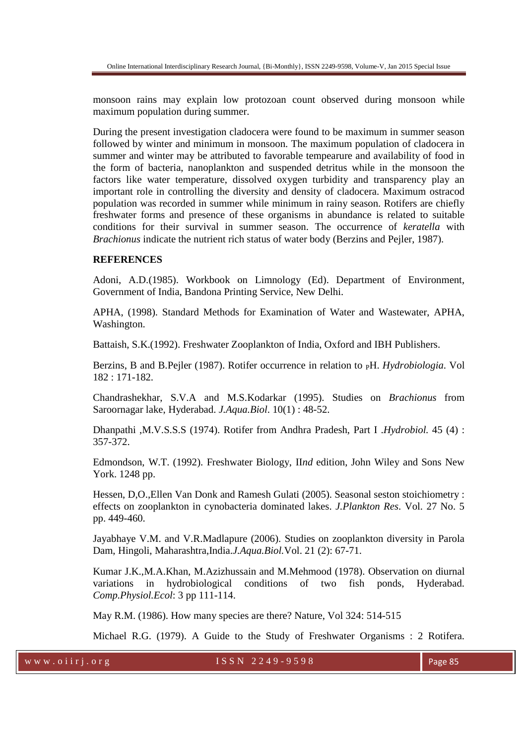monsoon rains may explain low protozoan count observed during monsoon while maximum population during summer.

During the present investigation cladocera were found to be maximum in summer season followed by winter and minimum in monsoon. The maximum population of cladocera in summer and winter may be attributed to favorable tempearure and availability of food in the form of bacteria, nanoplankton and suspended detritus while in the monsoon the factors like water temperature, dissolved oxygen turbidity and transparency play an important role in controlling the diversity and density of cladocera. Maximum ostracod population was recorded in summer while minimum in rainy season. Rotifers are chiefly freshwater forms and presence of these organisms in abundance is related to suitable conditions for their survival in summer season. The occurrence of *keratella* with *Brachionus* indicate the nutrient rich status of water body (Berzins and Pejler, 1987).

#### **REFERENCES**

Adoni, A.D.(1985). Workbook on Limnology (Ed). Department of Environment, Government of India, Bandona Printing Service, New Delhi.

APHA, (1998). Standard Methods for Examination of Water and Wastewater, APHA, Washington.

Battaish, S.K.(1992). Freshwater Zooplankton of India, Oxford and IBH Publishers.

Berzins, B and B.Pejler (1987). Rotifer occurrence in relation to <sub>P</sub>H. *Hydrobiologia*. Vol 182 : 171-182.

Chandrashekhar, S.V.A and M.S.Kodarkar (1995). Studies on *Brachionus* from Saroornagar lake, Hyderabad. *J.Aqua.Biol*. 10(1) : 48-52.

Dhanpathi ,M.V.S.S.S (1974). Rotifer from Andhra Pradesh, Part I .*Hydrobiol.* 45 (4) : 357-372.

Edmondson, W.T. (1992). Freshwater Biology, II*nd* edition, John Wiley and Sons New York. 1248 pp.

Hessen, D,O.,Ellen Van Donk and Ramesh Gulati (2005). Seasonal seston stoichiometry : effects on zooplankton in cynobacteria dominated lakes. *J.Plankton Res*. Vol. 27 No. 5 pp. 449-460.

Jayabhaye V.M. and V.R.Madlapure (2006). Studies on zooplankton diversity in Parola Dam, Hingoli, Maharashtra,India.*J.Aqua.Biol.*Vol. 21 (2): 67-71.

Kumar J.K.,M.A.Khan, M.Azizhussain and M.Mehmood (1978). Observation on diurnal variations in hydrobiological conditions of two fish ponds, Hyderabad. *Comp.Physiol.Ecol*: 3 pp 111-114.

May R.M. (1986). How many species are there? Nature, Vol 324: 514-515

Michael R.G. (1979). A Guide to the Study of Freshwater Organisms : 2 Rotifera.

w w w . o i i r j . o r g  $1 S S N 2 2 49 - 9598$  Page 85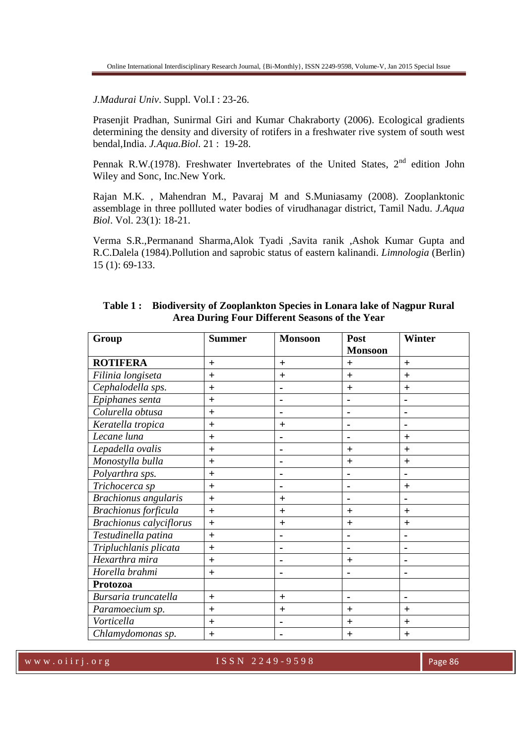*J.Madurai Univ*. Suppl. Vol.I : 23-26.

Prasenjit Pradhan, Sunirmal Giri and Kumar Chakraborty (2006). Ecological gradients determining the density and diversity of rotifers in a freshwater rive system of south west bendal,India. *J.Aqua.Biol*. 21 : 19-28.

Pennak R.W.(1978). Freshwater Invertebrates of the United States, 2<sup>nd</sup> edition John Wiley and Sonc, Inc.New York.

Rajan M.K. , Mahendran M., Pavaraj M and S.Muniasamy (2008). Zooplanktonic assemblage in three pollluted water bodies of virudhanagar district, Tamil Nadu. *J.Aqua Biol*. Vol. 23(1): 18-21.

Verma S.R.,Permanand Sharma,Alok Tyadi ,Savita ranik ,Ashok Kumar Gupta and R.C.Dalela (1984).Pollution and saprobic status of eastern kalinandi. *Limnologia* (Berlin) 15 (1): 69-133.

| Group                          | <b>Summer</b> | <b>Monsoon</b> | Post           | <b>Winter</b>  |
|--------------------------------|---------------|----------------|----------------|----------------|
|                                |               |                | <b>Monsoon</b> |                |
| <b>ROTIFERA</b>                | $+$           | $+$            | $\pm$          | $+$            |
| Filinia longiseta              | $+$           | $+$            | $+$            | $+$            |
| Cephalodella sps.              | $+$           |                | $+$            | $\ddot{}$      |
| Epiphanes senta                | $+$           | $\blacksquare$ | ۰              | ۰              |
| Colurella obtusa               | $+$           |                |                | $\blacksquare$ |
| Keratella tropica              | $+$           | $+$            | ۰              | $\blacksquare$ |
| Lecane luna                    | $\ddot{}$     |                |                | $+$            |
| Lepadella ovalis               | $+$           |                | $+$            | $+$            |
| Monostylla bulla               | $\ddot{}$     |                | $\pm$          | $+$            |
| Polyarthra sps.                | $+$           | $\blacksquare$ |                | $\blacksquare$ |
| Trichocerca sp                 | $+$           |                |                | $+$            |
| <b>Brachionus</b> angularis    | $+$           | $+$            |                | $\blacksquare$ |
| <b>Brachionus</b> forficula    | $+$           | $+$            | $\ddot{}$      | $+$            |
| <b>Brachionus calyciflorus</b> | $+$           | $\pm$          | $\pm$          | $+$            |
| Testudinella patina            | $+$           |                |                | $\blacksquare$ |
| Tripluchlanis plicata          | $+$           | $\blacksquare$ | $\blacksquare$ | $\blacksquare$ |
| Hexarthra mira                 | $+$           |                | $\pm$          | $\blacksquare$ |
| Horella brahmi                 | $+$           |                |                | $\blacksquare$ |
| Protozoa                       |               |                |                |                |
| Bursaria truncatella           | $+$           | $+$            | $\blacksquare$ | $\blacksquare$ |
| Paramoecium sp.                | $+$           | $+$            | $+$            | $+$            |
| Vorticella                     | $+$           |                | $\pm$          | $+$            |
| Chlamydomonas sp.              | $\ddagger$    |                | $\pm$          | $+$            |

|                                                | Table 1: Biodiversity of Zooplankton Species in Lonara lake of Nagpur Rural |  |  |  |  |
|------------------------------------------------|-----------------------------------------------------------------------------|--|--|--|--|
| Area During Four Different Seasons of the Year |                                                                             |  |  |  |  |

w w w . o i i r j . o r g and the set of  $\sim$  ISSN 2249-9598 Page 86